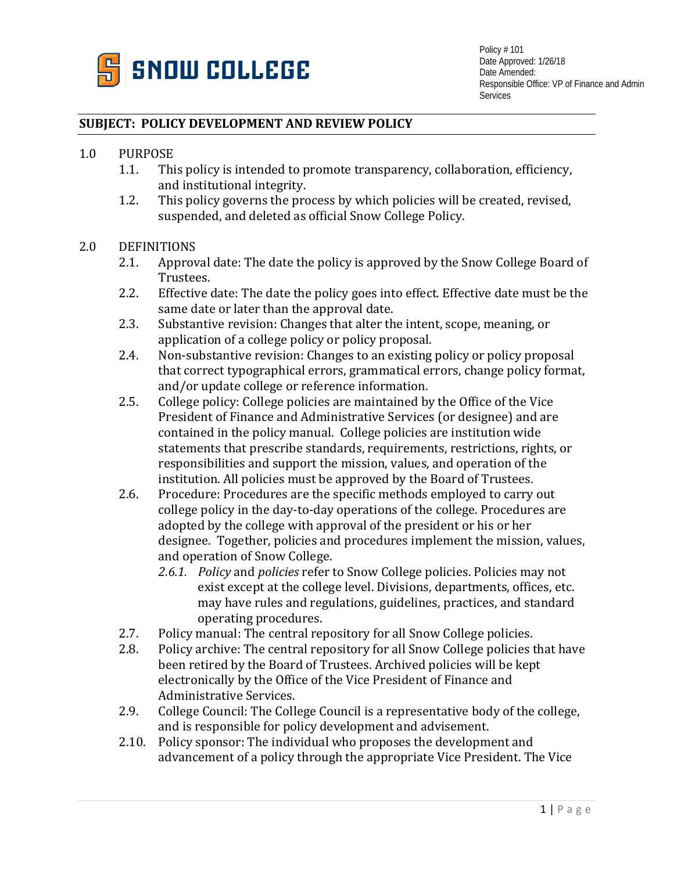

## **SUBJECT: POLICY DEVELOPMENT AND REVIEW POLICY**

## 1.0 PURPOSE<br>1.1. Thi

- This policy is intended to promote transparency, collaboration, efficiency, and institutional integrity.
- 1.2. This policy governs the process by which policies will be created, revised, suspended, and deleted as official Snow College Policy.

## 2.0 DEFINITIONS<br>2.1 Approv

- Approval date: The date the policy is approved by the Snow College Board of Trustees.
- 2.2. Effective date: The date the policy goes into effect. Effective date must be the same date or later than the approval date.
- 2.3. Substantive revision: Changes that alter the intent, scope, meaning, or application of a college policy or policy proposal.
- 2.4. Non-substantive revision: Changes to an existing policy or policy proposal that correct typographical errors, grammatical errors, change policy format, and/or update college or reference information.
- 2.5. College policy: College policies are maintained by the Office of the Vice President of Finance and Administrative Services (or designee) and are contained in the policy manual. College policies are institution wide statements that prescribe standards, requirements, restrictions, rights, or responsibilities and support the mission, values, and operation of the institution. All policies must be approved by the Board of Trustees.
- 2.6. Procedure: Procedures are the specific methods employed to carry out college policy in the day-to-day operations of the college. Procedures are adopted by the college with approval of the president or his or her designee. Together, policies and procedures implement the mission, values, and operation of Snow College.
	- *2.6.1. Policy* and *policies* refer to Snow College policies. Policies may not exist except at the college level. Divisions, departments, offices, etc. may have rules and regulations, guidelines, practices, and standard operating procedures.
- 2.7. Policy manual: The central repository for all Snow College policies.<br>2.8. Policy archive: The central repository for all Snow College policies t
- 2.8. Policy archive: The central repository for all Snow College policies that have been retired by the Board of Trustees. Archived policies will be kept electronically by the Office of the Vice President of Finance and Administrative Services.
- 2.9. College Council: The College Council is a representative body of the college, and is responsible for policy development and advisement.
- 2.10. Policy sponsor: The individual who proposes the development and advancement of a policy through the appropriate Vice President. The Vice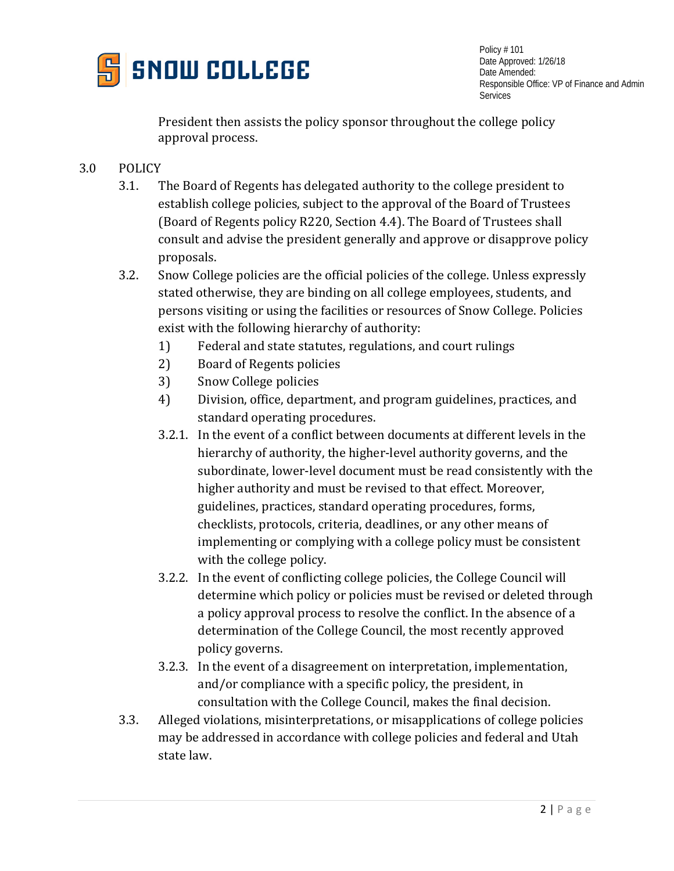

President then assists the policy sponsor throughout the college policy approval process.

- 3.0 POLICY
	- 3.1. The Board of Regents has delegated authority to the college president to establish college policies, subject to the approval of the Board of Trustees (Board of Regents policy R220, Section 4.4). The Board of Trustees shall consult and advise the president generally and approve or disapprove policy proposals.
	- 3.2. Snow College policies are the official policies of the college. Unless expressly stated otherwise, they are binding on all college employees, students, and persons visiting or using the facilities or resources of Snow College. Policies exist with the following hierarchy of authority:
		- 1) Federal and state statutes, regulations, and court rulings
		- 2) Board of Regents policies
		- 3) Snow College policies
		- 4) Division, office, department, and program guidelines, practices, and standard operating procedures.
		- 3.2.1. In the event of a conflict between documents at different levels in the hierarchy of authority, the higher-level authority governs, and the subordinate, lower-level document must be read consistently with the higher authority and must be revised to that effect. Moreover, guidelines, practices, standard operating procedures, forms, checklists, protocols, criteria, deadlines, or any other means of implementing or complying with a college policy must be consistent with the college policy.
		- 3.2.2. In the event of conflicting college policies, the College Council will determine which policy or policies must be revised or deleted through a policy approval process to resolve the conflict. In the absence of a determination of the College Council, the most recently approved policy governs.
		- 3.2.3. In the event of a disagreement on interpretation, implementation, and/or compliance with a specific policy, the president, in consultation with the College Council, makes the final decision.
	- 3.3. Alleged violations, misinterpretations, or misapplications of college policies may be addressed in accordance with college policies and federal and Utah state law.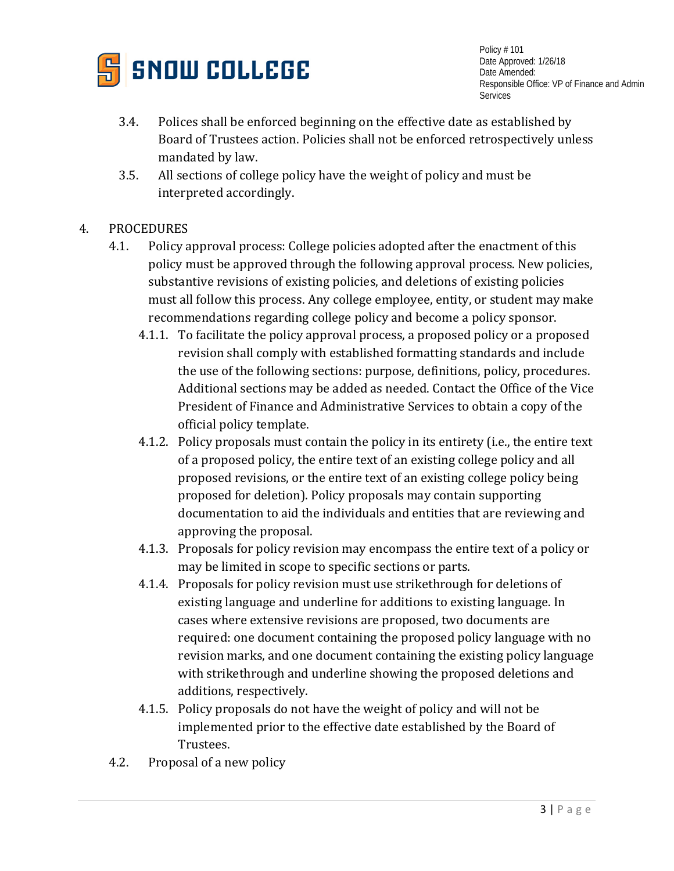

- 3.4. Polices shall be enforced beginning on the effective date as established by Board of Trustees action. Policies shall not be enforced retrospectively unless mandated by law.
- 3.5. All sections of college policy have the weight of policy and must be interpreted accordingly.
- 4. PROCEDURES
	- 4.1. Policy approval process: College policies adopted after the enactment of this policy must be approved through the following approval process. New policies, substantive revisions of existing policies, and deletions of existing policies must all follow this process. Any college employee, entity, or student may make recommendations regarding college policy and become a policy sponsor.
		- 4.1.1. To facilitate the policy approval process, a proposed policy or a proposed revision shall comply with established formatting standards and include the use of the following sections: purpose, definitions, policy, procedures. Additional sections may be added as needed. Contact the Office of the Vice President of Finance and Administrative Services to obtain a copy of the official policy template.
		- 4.1.2. Policy proposals must contain the policy in its entirety (i.e., the entire text of a proposed policy, the entire text of an existing college policy and all proposed revisions, or the entire text of an existing college policy being proposed for deletion). Policy proposals may contain supporting documentation to aid the individuals and entities that are reviewing and approving the proposal.
		- 4.1.3. Proposals for policy revision may encompass the entire text of a policy or may be limited in scope to specific sections or parts.
		- 4.1.4. Proposals for policy revision must use strikethrough for deletions of existing language and underline for additions to existing language. In cases where extensive revisions are proposed, two documents are required: one document containing the proposed policy language with no revision marks, and one document containing the existing policy language with strikethrough and underline showing the proposed deletions and additions, respectively.
		- 4.1.5. Policy proposals do not have the weight of policy and will not be implemented prior to the effective date established by the Board of Trustees.
	- 4.2. Proposal of a new policy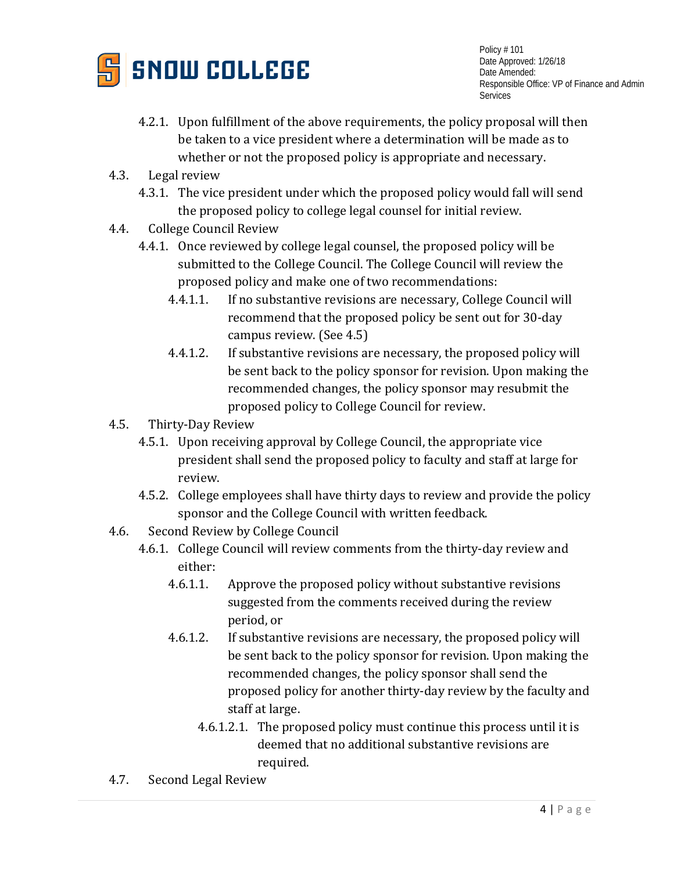

- 4.2.1. Upon fulfillment of the above requirements, the policy proposal will then be taken to a vice president where a determination will be made as to whether or not the proposed policy is appropriate and necessary.
- 4.3. Legal review
	- 4.3.1. The vice president under which the proposed policy would fall will send the proposed policy to college legal counsel for initial review.
- 4.4. College Council Review
	- 4.4.1. Once reviewed by college legal counsel, the proposed policy will be submitted to the College Council. The College Council will review the proposed policy and make one of two recommendations:
		- 4.4.1.1. If no substantive revisions are necessary, College Council will recommend that the proposed policy be sent out for 30-day campus review. (See 4.5)
		- 4.4.1.2. If substantive revisions are necessary, the proposed policy will be sent back to the policy sponsor for revision. Upon making the recommended changes, the policy sponsor may resubmit the proposed policy to College Council for review.
- 4.5. Thirty-Day Review
	- 4.5.1. Upon receiving approval by College Council, the appropriate vice president shall send the proposed policy to faculty and staff at large for review.
	- 4.5.2. College employees shall have thirty days to review and provide the policy sponsor and the College Council with written feedback.
- 4.6. Second Review by College Council
	- 4.6.1. College Council will review comments from the thirty-day review and either:
		- 4.6.1.1. Approve the proposed policy without substantive revisions suggested from the comments received during the review period, or
		- 4.6.1.2. If substantive revisions are necessary, the proposed policy will be sent back to the policy sponsor for revision. Upon making the recommended changes, the policy sponsor shall send the proposed policy for another thirty-day review by the faculty and staff at large.
			- 4.6.1.2.1. The proposed policy must continue this process until it is deemed that no additional substantive revisions are required.
- 4.7. Second Legal Review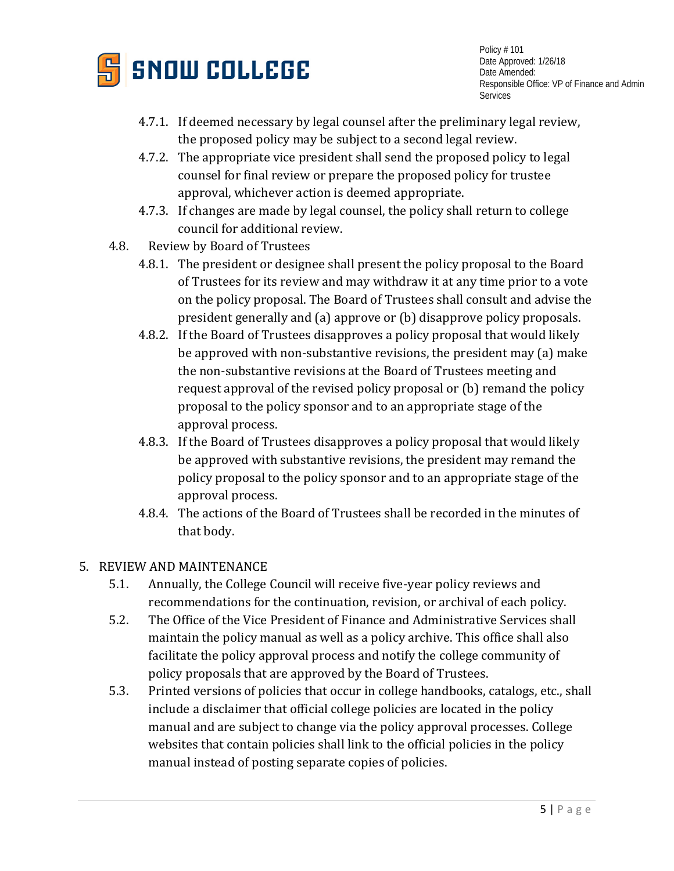

- 4.7.1. If deemed necessary by legal counsel after the preliminary legal review, the proposed policy may be subject to a second legal review.
- 4.7.2. The appropriate vice president shall send the proposed policy to legal counsel for final review or prepare the proposed policy for trustee approval, whichever action is deemed appropriate.
- 4.7.3. If changes are made by legal counsel, the policy shall return to college council for additional review.
- 4.8. Review by Board of Trustees
	- 4.8.1. The president or designee shall present the policy proposal to the Board of Trustees for its review and may withdraw it at any time prior to a vote on the policy proposal. The Board of Trustees shall consult and advise the president generally and (a) approve or (b) disapprove policy proposals.
	- 4.8.2. If the Board of Trustees disapproves a policy proposal that would likely be approved with non-substantive revisions, the president may (a) make the non-substantive revisions at the Board of Trustees meeting and request approval of the revised policy proposal or (b) remand the policy proposal to the policy sponsor and to an appropriate stage of the approval process.
	- 4.8.3. If the Board of Trustees disapproves a policy proposal that would likely be approved with substantive revisions, the president may remand the policy proposal to the policy sponsor and to an appropriate stage of the approval process.
	- 4.8.4. The actions of the Board of Trustees shall be recorded in the minutes of that body.

## 5. REVIEW AND MAINTENANCE

- 5.1. Annually, the College Council will receive five-year policy reviews and recommendations for the continuation, revision, or archival of each policy.
- 5.2. The Office of the Vice President of Finance and Administrative Services shall maintain the policy manual as well as a policy archive. This office shall also facilitate the policy approval process and notify the college community of policy proposals that are approved by the Board of Trustees.
- 5.3. Printed versions of policies that occur in college handbooks, catalogs, etc., shall include a disclaimer that official college policies are located in the policy manual and are subject to change via the policy approval processes. College websites that contain policies shall link to the official policies in the policy manual instead of posting separate copies of policies.